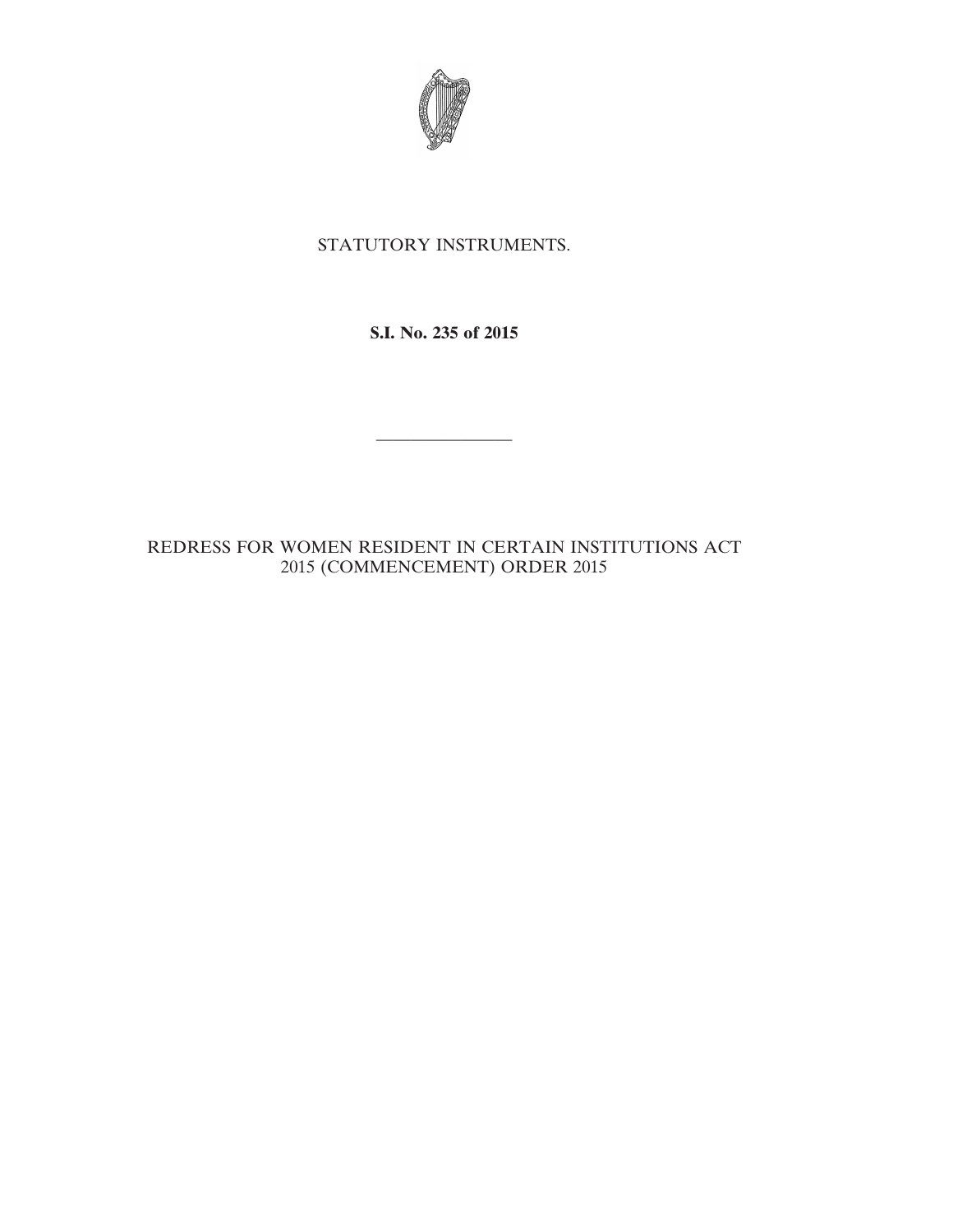

## STATUTORY INSTRUMENTS.

**S.I. No. 235 of 2015**

————————

REDRESS FOR WOMEN RESIDENT IN CERTAIN INSTITUTIONS ACT 2015 (COMMENCEMENT) ORDER 2015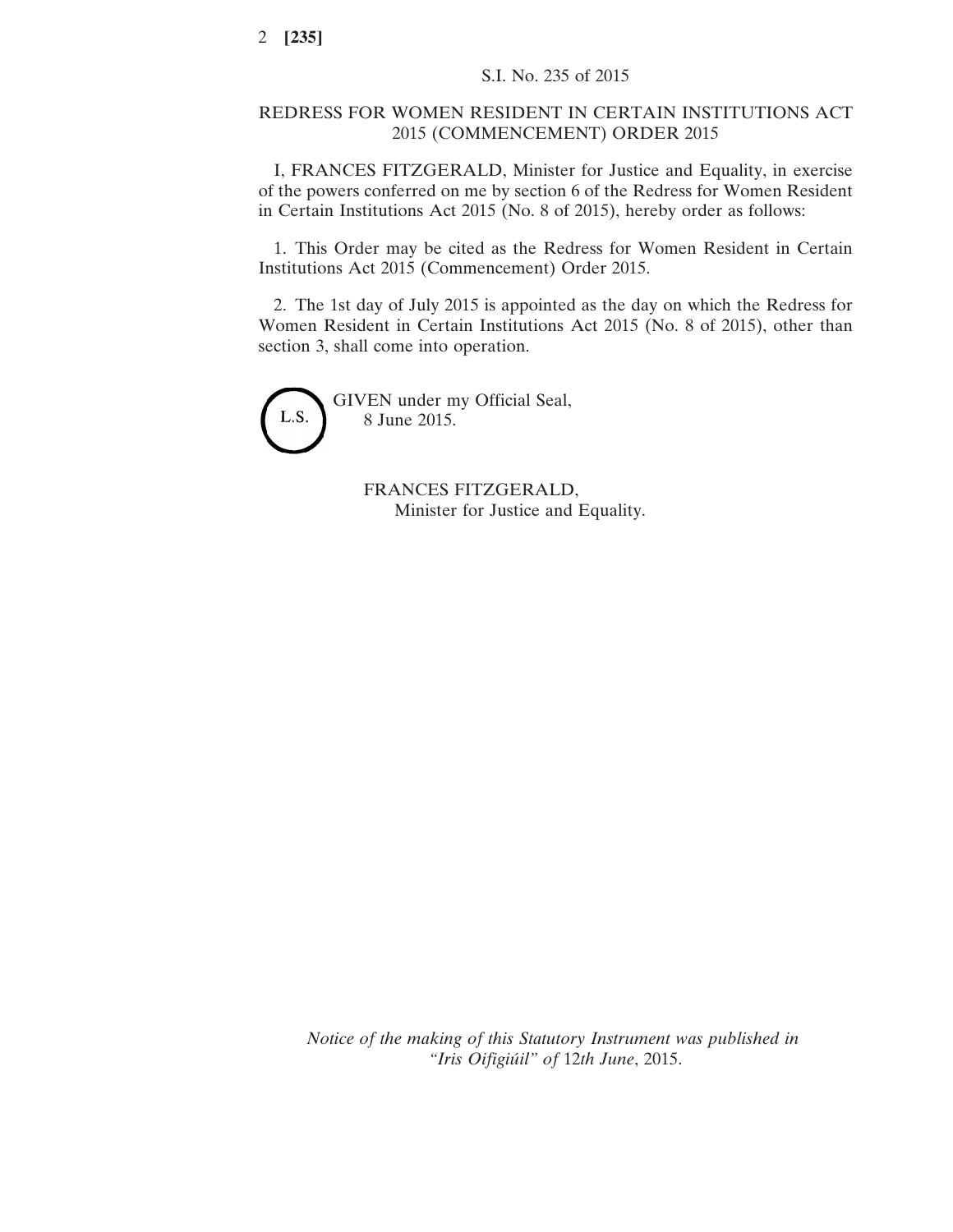## REDRESS FOR WOMEN RESIDENT IN CERTAIN INSTITUTIONS ACT 2015 (COMMENCEMENT) ORDER 2015

I, FRANCES FITZGERALD, Minister for Justice and Equality, in exercise of the powers conferred on me by section 6 of the Redress for Women Resident in Certain Institutions Act 2015 (No. 8 of 2015), hereby order as follows:

1. This Order may be cited as the Redress for Women Resident in Certain Institutions Act 2015 (Commencement) Order 2015.

2. The 1st day of July 2015 is appointed as the day on which the Redress for Women Resident in Certain Institutions Act 2015 (No. 8 of 2015), other than section 3, shall come into operation.



GIVEN under my Official Seal, 8 June 2015.

> FRANCES FITZGERALD, Minister for Justice and Equality.

*Notice of the making of this Statutory Instrument was published in "Iris Oifigiúil" of* 12*th June*, 2015.